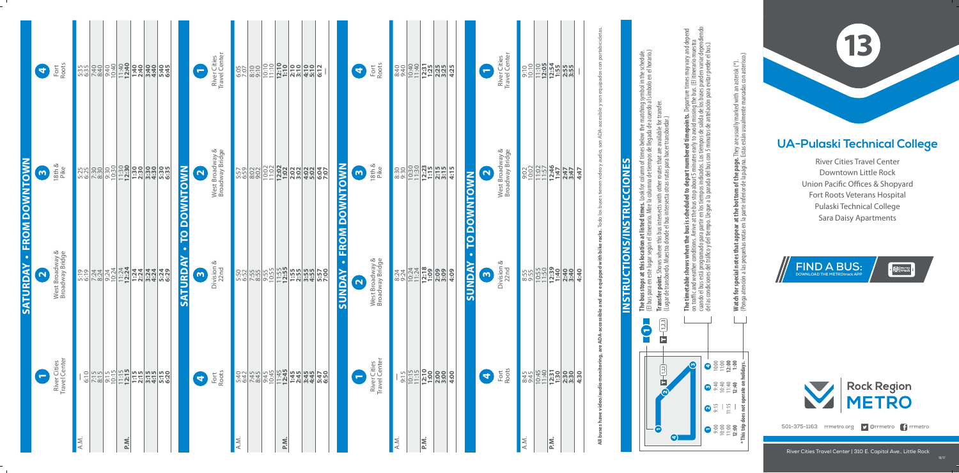River Cities Travel Center Downtown Little Rock Union Pacific Offices & Shopyard Fort Roots Veterans Hospital Pulaski Technical College Sara Daisy Apartments

## **13**



River Cities Travel Center | 310 E. Capitol Ave., Little Rock



 $\bullet$   $\blacksquare$  Metro I

**nepoints.** Departure times may vary and depend<br>avoid missing the bus. (El itinerario muestra<br>de salida de los buses pueden variar dependiendo<br>tos de antelación para evitar perder el bus.) cuando el bus está programado para partir en los tiempos indicados. Los tiempos de salida de los buses pueden variar dependiendo **The timetable shows when the bus is scheduled to depart numbered timepoints.** Departure times may vary and depend on traffic and weather conditions. Arrive at the bus stop about 5 minutes early to avoid missing the bus. (El itinerario muestra de las condiciones del tráco y del tiempo. Llegue a la parada del bus con 5 minutos de antelación para evitar perder el bus.) Watch for special notes that appear at the bottom of the page. They are usually marked with an asterisk (\*).<br>(Ponga atención a las pequeñas notas en la parte inferior de la página. Estas están usualmente marcadas con aster **Watch for special notes that appear at the bottom of the page.** They are usually marked with an asterisk (\*). red time<br>arly to a min **The timetable shows when the bus is scheduled to depart numbers**<br>on traffic and weather conditions. Arrive at the bus stop about 5 minutes ea<br>cuando el bus está programado para partir en los tiempos indicados. Los tie<br>de 10:00 11:00 **12:00 1:00** m, 3 4 9:40 10:40 11:40 **12:40**  $2\frac{1}{2}$   $\frac{1}{2}$   $\frac{1}{2}$ 1 9:00 10:00 11:00 **12:00** This 4

| Fort<br>Roots<br>$\mathbf{r}$                      | 5:35                    | 7:40<br>8:40 |     |              |             | $\overline{\phantom{0}}$ | River Cities<br>Travel Center      |      | $rac{55}{100}$ |      |  |                                   | $\blacktriangleleft$  | Fort<br>Roots                      | 8:40<br>9:40          |      |                                                                                                                                                                                                                                                                                                                                                                       | 4:25 | $\overline{\phantom{m}}$               | River Cities<br>Travel Center      | $\frac{9:10}{0:10}$ |                       | $\begin{array}{ c c c c }\hline - & 0.05 & 0.05 & 0.05 \\ \hline 0.05 & 0.05 & 0.05 & 0.05 \\ \hline 0.05 & 0.05 & 0.05 & 0.05 \\ \hline 0.05 & 0.05 & 0.05 & 0.05 \\ \hline \end{array}$ | son equipados con portabicicletas.                                                                                    |                                   |                                                                                                                                                                                                                                                                                                                                                                                                                                                   |
|----------------------------------------------------|-------------------------|--------------|-----|--------------|-------------|--------------------------|------------------------------------|------|----------------|------|--|-----------------------------------|-----------------------|------------------------------------|-----------------------|------|-----------------------------------------------------------------------------------------------------------------------------------------------------------------------------------------------------------------------------------------------------------------------------------------------------------------------------------------------------------------------|------|----------------------------------------|------------------------------------|---------------------|-----------------------|-------------------------------------------------------------------------------------------------------------------------------------------------------------------------------------------|-----------------------------------------------------------------------------------------------------------------------|-----------------------------------|---------------------------------------------------------------------------------------------------------------------------------------------------------------------------------------------------------------------------------------------------------------------------------------------------------------------------------------------------------------------------------------------------------------------------------------------------|
| 18th &<br>Pike<br>$\boldsymbol{\omega}$<br>O       | 5<br>5<br>5<br>53<br>53 |              |     | 3:30<br>5:35 | TO DOWNTOWN | $\mathbf{N}$             | West Broadway &<br>Broadway Bridge | 5:57 | 8:02           |      |  | <b>FROM DOWNTOWN</b>              | $\omega$              | 18th &<br>Pike                     | 8:30                  |      | $\begin{array}{ l l }\hline 1 & 0 & 0 & 0 \\ \hline 2 & 0 & 0 & 0 \\ \hline 3 & 0 & 0 & 0 \\ \hline 4 & 0 & 0 & 0 \\ \hline 5 & 0 & 0 & 0 \\ \hline 6 & 0 & 0 & 0 \\ \hline 7 & 0 & 0 & 0 \\ \hline 8 & 0 & 0 & 0 \\ \hline 9 & 0 & 0 & 0 \\ \hline 1 & 0 & 0 & 0 \\ \hline 2 & 0 & 0 & 0 \\ \hline 3 & 0 & 0 & 0 \\ \hline 4 & 0 & 0 & 0 \\ \hline 5 & 0 & 0 & 0 \\$ | 4:15 | $\overline{\mathbf{N}}$<br>TO DOWNTOWN | West Broadway &<br>Broadway Bridge | 9:02                | $\frac{11:57}{11:57}$ | 2:47<br>3:47                                                                                                                                                                              | are ADA-accessible and are equipped with bike racks. Todo los buses tienen video y audio, son ADA-accesible y<br>4:47 |                                   | <b>The bus stops at this location at listed times.</b> Look for column of times below the matching symbol in the schedule.<br>(El bus para en este lugar según el itinerario. Mire la columna de tiempos de llegada de acuerdo al símb<br><b>Transfer point.</b> Shows where this bus intersects with other routes that are available for transfer.<br>(Lugar de transbordo. Muestra donde el bus intersecta otras rutas para hacer transbordar.) |
| West Broadway &<br>Broadway Bridge<br>$\mathbf{N}$ | 5:19                    |              |     |              | SATURDAY    | $\boldsymbol{\omega}$    | Division &<br>22nd                 |      |                |      |  | $\bullet$<br><b><i>SUNDAY</i></b> | $\mathbf{\mathbf{N}}$ | West Broadway &<br>Broadway Bridge | 8:24                  |      | $\begin{array}{ c c }\n\hline\n10:24 \\ \hline\n11:18 \\ \hline\n12:99 \\ \hline\n2:09 \\ \hline\n3:09 \\ \hline\n\end{array}$                                                                                                                                                                                                                                        | 4:09 | $\bullet$<br>SUNDAY<br>m               | ∞<br>Division &                    | 8:55<br>9:55        |                       |                                                                                                                                                                                           | 4:40                                                                                                                  | <b>INSTRUCTIONS/INSTRUCCIONES</b> |                                                                                                                                                                                                                                                                                                                                                                                                                                                   |
| River Cities<br>Travel Center<br>$\blacksquare$    |                         |              |     |              |             | $\blacktriangleleft$     | Fort<br>Roots                      |      |                |      |  |                                   | $\blacksquare$        | River Cities<br>Travel Center      | $\overline{L}$<br>9:1 |      | <b>1915</b><br><b>11:19</b><br><b>12:00<br/> 2:00</b><br>2:00                                                                                                                                                                                                                                                                                                         | 4:00 | 5                                      | Fort<br>Roots                      |                     |                       |                                                                                                                                                                                           | $\vec{a}$<br>video/audio monitorin                                                                                    |                                   | $\sqrt{1,2,3}$<br>$\blacksquare$<br>$\sqrt{1-(1/2)}$<br>$\hat{\mathbf{\Theta}}$                                                                                                                                                                                                                                                                                                                                                                   |
|                                                    | A.M.                    |              | P.M |              |             |                          |                                    | A.M. |                | P.M. |  |                                   |                       |                                    | A.M.                  | P.M. |                                                                                                                                                                                                                                                                                                                                                                       |      |                                        |                                    | A.M.                | $P_{\cdot}$           |                                                                                                                                                                                           | All buses have                                                                                                        |                                   |                                                                                                                                                                                                                                                                                                                                                                                                                                                   |

## **Pulaski Technical College UA-Pulaski Technical College**

**\* This trip does not operate on holidays.**

(Ponga atención a las pequeñas notas en la parte inferior de la página. Estas están usualmente marcadas con asterisco.)